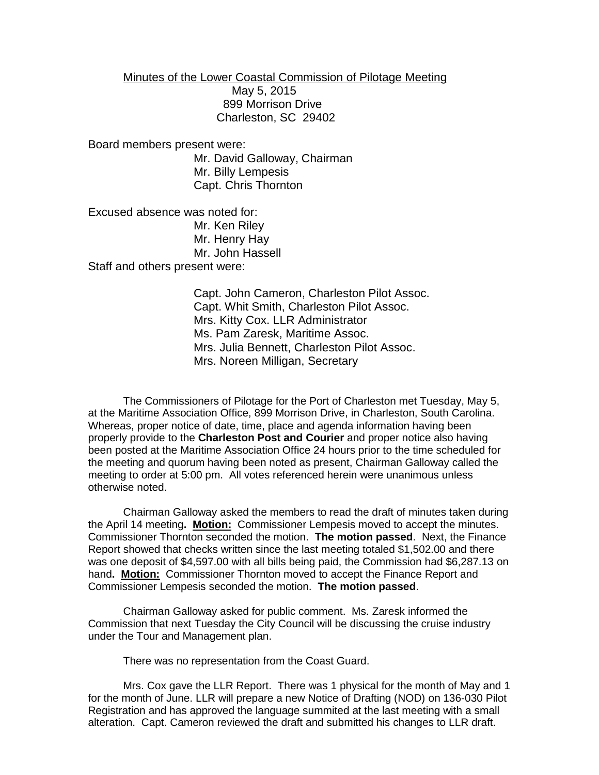Minutes of the Lower Coastal Commission of Pilotage Meeting May 5, 2015 899 Morrison Drive Charleston, SC 29402

Board members present were: Mr. David Galloway, Chairman Mr. Billy Lempesis Capt. Chris Thornton

Excused absence was noted for: Mr. Ken Riley Mr. Henry Hay Mr. John Hassell Staff and others present were:

> Capt. John Cameron, Charleston Pilot Assoc. Capt. Whit Smith, Charleston Pilot Assoc. Mrs. Kitty Cox. LLR Administrator Ms. Pam Zaresk, Maritime Assoc. Mrs. Julia Bennett, Charleston Pilot Assoc. Mrs. Noreen Milligan, Secretary

The Commissioners of Pilotage for the Port of Charleston met Tuesday, May 5, at the Maritime Association Office, 899 Morrison Drive, in Charleston, South Carolina. Whereas, proper notice of date, time, place and agenda information having been properly provide to the **Charleston Post and Courier** and proper notice also having been posted at the Maritime Association Office 24 hours prior to the time scheduled for the meeting and quorum having been noted as present, Chairman Galloway called the meeting to order at 5:00 pm. All votes referenced herein were unanimous unless otherwise noted.

Chairman Galloway asked the members to read the draft of minutes taken during the April 14 meeting**. Motion:** Commissioner Lempesis moved to accept the minutes. Commissioner Thornton seconded the motion. **The motion passed**. Next, the Finance Report showed that checks written since the last meeting totaled \$1,502.00 and there was one deposit of \$4,597.00 with all bills being paid, the Commission had \$6,287.13 on hand**. Motion:** Commissioner Thornton moved to accept the Finance Report and Commissioner Lempesis seconded the motion. **The motion passed**.

Chairman Galloway asked for public comment. Ms. Zaresk informed the Commission that next Tuesday the City Council will be discussing the cruise industry under the Tour and Management plan.

There was no representation from the Coast Guard.

Mrs. Cox gave the LLR Report. There was 1 physical for the month of May and 1 for the month of June. LLR will prepare a new Notice of Drafting (NOD) on 136-030 Pilot Registration and has approved the language summited at the last meeting with a small alteration. Capt. Cameron reviewed the draft and submitted his changes to LLR draft.